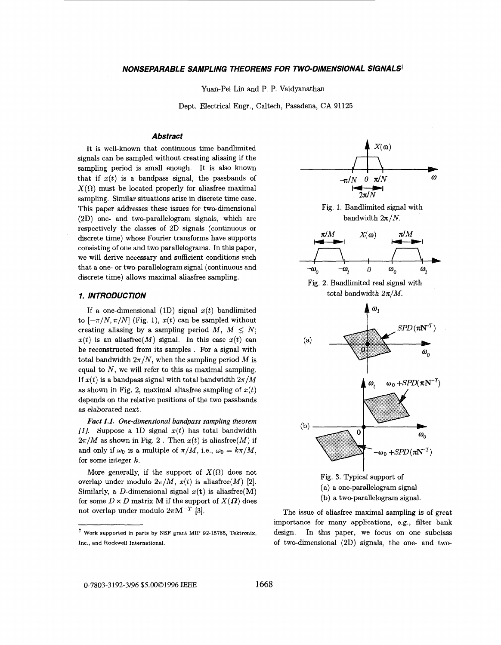### <span id="page-0-0"></span>*NONSEPARABLE SAMPLING THEOREMS FOR TWO-DJMENSIONAL SIGNALS'*

Yuan-Pei Lin and P. P. Vaidyanathan

Dept. Electrical Engr., Caltech, Pasadena, **CA** 91125

#### *Abstract*

It is well-known that continuous time bandlimited signals can be sampled without creating aliasing if the sampling period is small enough. It is also known that if  $x(t)$  is a bandpass signal, the passbands of  $X(\Omega)$  must be located properly for aliasfree maximal sampling. Similar situations arise in discrete time case. This paper addresses these issues for two-dimensional (2D) one- and two-parallelogram signals, which are respectively the classes of 2D signals (continuous or discrete time) whose Fourier transforms have supports consisting of one and two parallelograms. In this paper, we will derive necessary and sufficient conditions such that a one- or two-parallelogram signal (continuous and discrete time) allows maximal aliasfree sampling.

#### **1. INTRODUCTION**

If a one-dimensional  $(1D)$  signal  $x(t)$  bandlimited to  $[-\pi/N, \pi/N]$  (Fig. 1),  $x(t)$  can be sampled without creating aliasing by a sampling period  $M, M \leq N$ ;  $x(t)$  is an aliasfree(M) signal. In this case  $x(t)$  can be reconstructed from its samples . For a signal with total bandwidth  $2\pi/N$ , when the sampling period M is equal to *N,* we will refer to this **as** maximal sampling. If  $x(t)$  is a bandpass signal with total bandwidth  $2\pi/M$ as shown in Fig. 2, maximal aliasfree sampling of  $x(t)$ depends on the relative positions of the two passbands **as** elaborated next.

*Fact 1.1. One-dimensional bandpass sampling theorem [I].* Suppose a 1D signal *z(t)* has total bandwidth  $2\pi/M$  as shown in Fig. 2. Then  $x(t)$  is aliasfree(M) if and only if  $\omega_0$  is a multiple of  $\pi/M$ , i.e.,  $\omega_0 = k\pi/M$ , for some integer *k.* 

More generally, if the support of  $X(\Omega)$  does not overlap under modulo  $2\pi/M$ ,  $x(t)$  is aliasfree(M) [2]. Similarly, a D-dimensional signal  $x(t)$  is aliasfree(M) for some  $D \times D$  matrix **M** if the support of  $X(\Omega)$  does not overlap under modulo  $2\pi M^{-T}$  [3].



(b) a two-parallelogram signal

The issue of aliasfree maximal sampling is of great importance for many applications, e.g., filter bank design. In this paper, we focus on one subclass of two-dimensional (2D) signals, the one and two-

**Work supported in parts by NSF grant MIP 92-15785, Tektronix, Inc., and Rockwell International.**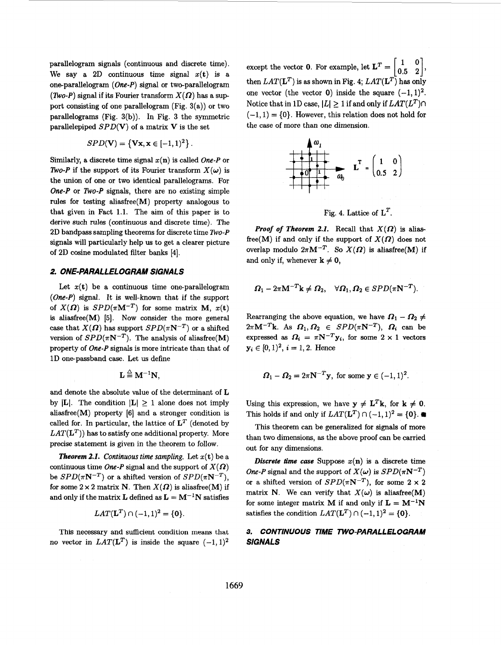parallelogram signals (continuous and discrete time). We say a 2D continuous time signal  $x(t)$  is a one-parallelogram *(One-P)* signal or two-parallelogram *(Two-P)* signal if its Fourier transform  $X(\Omega)$  has a support consisting of one parallelogram (Fig.  $3(a)$ ) or two parallelograms (Fig. 3(b)). In [Fig. 3](#page-0-0) the symmetric parallelepiped *SPD(V)* of a matrix *V* is the set

$$
SPD(\mathbf{V}) = \{ \mathbf{Vx}, \mathbf{x} \in [-1,1)^2 \}.
$$

Similarly, a discrete time signal  $x(n)$  is called *One-P* or *ZWo-P* if the support of its Fourier transform  $X(\omega)$  is the union of one or two identical parallelograms. For One-P or *No-P* signals, there are no existing simple **rules** for testing aliasfree(M) property analogous to that given in Fact 1.1. The aim of this paper is to derive such rules (continuous and discrete time). The **2D** bandpass sampling theorems for discrete time *TWO-P*  signals will particularly help **us** to get a clearer picture of **2D** cosine modulated filter banks **[4].** 

## *2. ONE-PARALLELOGRAM SIGNALS*

Let  $x(t)$  be a continuous time one-parallelogram *(One-P)* signal. It is well-known that if the support of  $X(\Omega)$  is  $SPD(\pi M^{-T})$  for some matrix M,  $x(t)$ is aliasfree(M) **[5].** Now consider the more general case that  $X(\Omega)$  has support  $SPD(\pi N^{-T})$  or a shifted version of  $SPD(\pi N^{-T})$ . The analysis of aliasfree(M) property of *One-P* signals is more intricate than that of **1D** one-passband case. Let us define

$$
\mathbf{L} \stackrel{\triangle}{=} \mathbf{M}^{-1} \mathbf{N},
$$

and denote the absolute value of the determinant of **L**  by  $|L|$ . The condition  $|L| \geq 1$  alone does not imply aliasfree $(M)$  property  $[6]$  and a stronger condition is called for. In particular, the lattice of  $L^T$  (denoted by  $LAT(\mathbf{L}^T)$  has to satisfy one additional property. More precise statement is given in the theorem to follow.

*Theorem 2.1. Continuous time sampling.* Let  $x(t)$  be a continuous time *One-P* signal and the support of  $X(\Omega)$ be  $SPD(\pi N^{-T})$  or a shifted version of  $SPD(\pi N^{-T})$ , for some  $2 \times 2$  matrix N. Then  $X(\Omega)$  is aliasfree(M) if and only if the matrix **L** defined as  $L = M^{-1}N$  satisfies

$$
LAT(\mathbf{L}^{T})\cap(-1,1)^{2}=\{0\}.
$$

This necessary and sufficient condition means that no vector in  $LAT(\mathbf{L}^T)$  is inside the square  $(-1, 1)^2$ 

except the vector **0**. For example, let  $\mathbf{L}^T = \begin{bmatrix} 1 & 0 \\ 0.5 & 2 \end{bmatrix}$ , then  $LAT(\mathbf{L}^T)$  is as shown in Fig. 4;  $LAT(\mathbf{L}^T)$  has only one vector (the vector  $\theta$ ) inside the square  $(-1, 1)^2$ . Notice that in 1D case,  $|L| \geq 1$  if and only if  $LAT(L^T)\cap$  $(-1, 1) = \{0\}$ . However, this relation does not hold for the case of more than one dimension.



Fig. 4. Lattice of  $L^T$ .

*Proof of Theorem 2.1.* Recall that  $X(\Omega)$  is aliasfree(M) if and only if the support of  $X(\Omega)$  does not overlap modulo  $2\pi M^{-T}$ . So  $X(\Omega)$  is aliasfree(M) if and only if, whenever  $k \neq 0$ ,

$$
\boldsymbol{\Omega}_1 - 2\pi \mathbf{M}^{-T}\mathbf{k} \neq \boldsymbol{\Omega}_2, \quad \forall \boldsymbol{\Omega}_1, \boldsymbol{\Omega}_2 \in SPD(\pi \mathbf{N}^{-T}).
$$

Rearranging the above equation, we have  $\Omega_1 - \Omega_2 \neq$  $2\pi M^{-T}$ k. As  $\Omega_1, \Omega_2 \in SPD(\pi N^{-T}), \Omega_i$  can be expressed as  $\Omega_i = \pi N^{-T} y_i$ , for some  $2 \times 1$  vectors  $y_i \in [0, 1)^2, i = 1, 2$ . Hence

$$
\boldsymbol{\Omega}_1 - \boldsymbol{\Omega}_2 = 2\pi \mathbf{N}^{-T} \mathbf{y}, \text{ for some } \mathbf{y} \in (-1,1)^2.
$$

Using this expression, we have  $y \neq L^T k$ , for  $k \neq 0$ . This holds if and only if  $LAT(\mathbf{L}^T)\cap(-1,1)^2=\{\mathbf{0}\}\.$ 

This theorem can be generalized for signals of more than two dimensions, **as** the above proof can be carried out for any dimensions.

*Discrete time case* Suppose  $x(n)$  is a discrete time *One-P* signal and the support of  $X(\omega)$  is  $SPD(\pi N^{-T})$ or a shifted version of  $SPD(\pi N^{-T})$ , for some  $2 \times 2$ matrix **N**. We can verify that  $X(\omega)$  is aliasfree(M) for some integer matrix **M** if and only if  $L = M^{-1}N$ satisfies the condition  $LAT(\mathbf{L}^T)\cap(-1,1)^2=\{\mathbf{0}\}.$ 

# **3.** *CONTINUOUS TIME TWO-PARALLELOGRAM SIGNALS*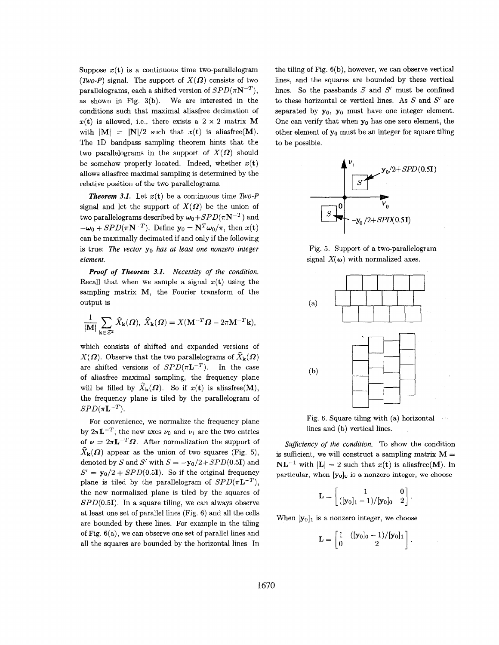Suppose  $x(t)$  is a continuous time two-parallelogram *(Two-P)* signal. The support of  $X(\Omega)$  consists of two parallelograms, each a shifted version of  $SPD(\pi N^{-T})$ , as shown in Fig. 3(b). We are interested in the conditions such that maximal aliasfree decimation of  $x(t)$  is allowed, i.e., there exists a  $2 \times 2$  matrix M with  $|M| = |N|/2$  such that  $x(t)$  is aliasfree(M). The ID bandpass sampling theorem hints that the two parallelograms in the support of  $X(\Omega)$  should be somehow properly located. Indeed, whether  $x(t)$ allows aliasfree maximal sampling is determined by the relative position of the two parallelograms.

*Theorem 3.1.* Let  $x(t)$  be a continuous time *Two-P* signal and let the support of  $X(\Omega)$  be the union of two parallelograms described by  $\omega_0+SPD(\pi N^{-T})$  and  $-\omega_0 + SPD(\pi N^{-T})$ . Define  $y_0 = N^T \omega_0 / \pi$ , then  $x(t)$ can be maximally decimated if and only if the following is true: *The vector*  $y_0$  *has at least one nonzero integer element.* 

*Necessity* of *the condition. Proof of Theorem 3.1.*  Recall that when we sample a signal  $x(t)$  using the sampling matrix M, the Fourier transform of the output is

$$
\frac{1}{|\mathbf{M}|} \sum_{\mathbf{k} \in \mathcal{Z}^2} \widehat{X}_{\mathbf{k}}(\boldsymbol{\Omega}), \ \widehat{X}_{\mathbf{k}}(\boldsymbol{\Omega}) = X(\mathbf{M}^{-T} \boldsymbol{\Omega} - 2\pi \mathbf{M}^{-T} \mathbf{k}),
$$

which consists of shifted and expanded versions of  $X(\Omega)$ . Observe that the two parallelograms of  $\hat{X}_{\mathbf{k}}(\Omega)$ are shifted versions of  $SPD(\pi L^{-T})$ . In the case of aliasfree maximal sampling, the frequency plane will be filled by  $\widehat{X}_{k}(\Omega)$ . So if  $x(t)$  is aliasfree(M), the frequency plane is tiled by the parallelogram of  $SPD(\pi L^{-T}).$ 

For convenience, we normalize the frequency plane by  $2\pi L^{-T}$ ; the new axes  $\nu_0$  and  $\nu_1$  are the two entries of  $\nu = 2\pi L^{-T}\Omega$ . After normalization the support of  $\widehat{X}_{\mathbf{k}}(\mathbf{\Omega})$  appear as the union of two squares (Fig. 5), denoted by *S* and *S'* with  $S = -y_0/2 + SPD(0.5I)$  and  $S' = y_0/2 + SPD(0.51)$ . So if the original frequency plane is tiled by the parallelogram of  $SPD(\pi L^{-T})$ , the new normalized plane is tiled by the squares of  $SPD(0.5I)$ . In a square tiling, we can always observe at least one set of parallel lines (Fig. 6) and all the cells are bounded by these lines. For example in the tiling of Fig. 6(a), we can observe one set of parallel lines and all the squares are bounded by the horizontal lines. In the tiling of Fig. 6(b), however, we can observe vertical lines, and the squares are bounded by these vertical lines. So the passbands *S* and *SI* must be confined to these horizontal or vertical lines. As *S* and *S'* are separated by  $y_0$ ,  $y_0$  must have one integer element. One can verify that when  $y_0$  has one zero element, the other element of  $y_0$  must be an integer for square tiling to be possible.



Fig. 5. Support of a two-parallelogram signal  $X(\omega)$  with normalized axes.



Fig. 6. Square tiling with (a) horizontal lines and (b) vertical lines.

*Suficiency of the condition.* To show the condition is sufficient, we will construct a sampling matrix  $M =$  $NL^{-1}$  with  $|L| = 2$  such that  $x(t)$  is aliasfree(M). In **particular, when** *[yolo* **is a nonzero integer, we choose** 

$$
\mathbf{L} = \begin{bmatrix} 1 & 0 \\ ([\mathbf{y}_0]_1 - 1) / [\mathbf{y}_0]_0 & 2 \end{bmatrix}.
$$

When  $[y_0]_1$  is a nonzero integer, we choose

$$
\mathbf{L} = \begin{bmatrix} 1 & ([\mathbf{y}_0]_0 - 1) / [\mathbf{y}_0]_1 \\ 0 & 2 \end{bmatrix}.
$$